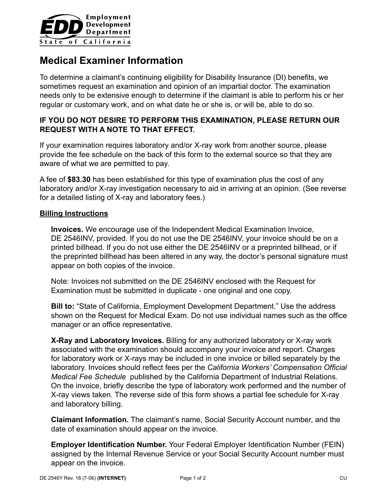

# **Medical Examiner Information**

To determine a claimant's continuing eligibility for Disability Insurance (DI) benefits, we sometimes request an examination and opinion of an impartial doctor. The examination needs only to be extensive enough to determine if the claimant is able to perform his or her regular or customary work, and on what date he or she is, or will be, able to do so.

# **IF YOU DO NOT DESIRE TO PERFORM THIS EXAMINATION, PLEASE RETURN OUR REQUEST WITH A NOTE TO THAT EFFECT.**

If your examination requires laboratory and/or X-ray work from another source, please provide the fee schedule on the back of this form to the external source so that they are aware of what we are permitted to pay.

A fee of **\$83.30** has been established for this type of examination plus the cost of any laboratory and/or X-ray investigation necessary to aid in arriving at an opinion. (See reverse for a detailed listing of X-ray and laboratory fees.)

### **Billing Instructions**

**Invoices.** We encourage use of the Independent Medical Examination Invoice, DE 2546INV, provided. If you do not use the DE 2546INV, your invoice should be on a printed billhead. If you do not use either the DE 2546INV or a preprinted billhead, or if the preprinted billhead has been altered in any way, the doctor's personal signature must appear on both copies of the invoice.

Note: Invoices not submitted on the DE 2546INV enclosed with the Request for Examination must be submitted in duplicate - one original and one copy.

**Bill to:** "State of California, Employment Development Department." Use the address shown on the Request for Medical Exam. Do not use individual names such as the office manager or an office representative.

**X-Ray and Laboratory Invoices.** Billing for any authorized laboratory or X-ray work associated with the examination should accompany your invoice and report. Charges for laboratory work or X-rays may be included in one invoice or billed separately by the laboratory. Invoices should reflect fees per the *California Workers' Compensation Official Medical Fee Schedule* published by the California Department of Industrial Relations. On the invoice, briefly describe the type of laboratory work performed and the number of X-ray views taken. The reverse side of this form shows a partial fee schedule for X-ray and laboratory billing.

**Claimant Information.** The claimant's name, Social Security Account number, and the date of examination should appear on the invoice.

**Employer Identification Number.** Your Federal Employer Identification Number (FEIN) assigned by the Internal Revenue Service or your Social Security Account number must appear on the invoice.